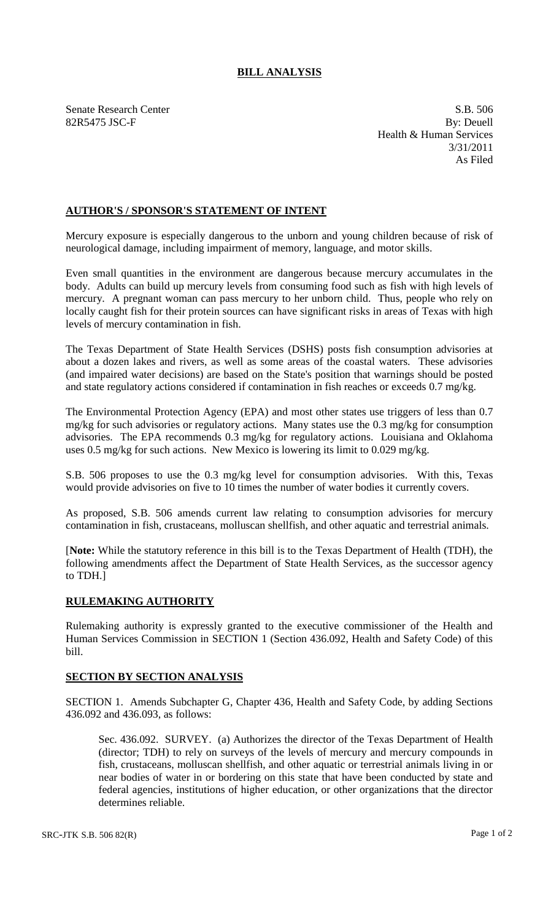## **BILL ANALYSIS**

Senate Research Center S.B. 506 82R5475 JSC-F By: Deuell Health & Human Services 3/31/2011 As Filed

## **AUTHOR'S / SPONSOR'S STATEMENT OF INTENT**

Mercury exposure is especially dangerous to the unborn and young children because of risk of neurological damage, including impairment of memory, language, and motor skills.

Even small quantities in the environment are dangerous because mercury accumulates in the body. Adults can build up mercury levels from consuming food such as fish with high levels of mercury. A pregnant woman can pass mercury to her unborn child. Thus, people who rely on locally caught fish for their protein sources can have significant risks in areas of Texas with high levels of mercury contamination in fish.

The Texas Department of State Health Services (DSHS) posts fish consumption advisories at about a dozen lakes and rivers, as well as some areas of the coastal waters. These advisories (and impaired water decisions) are based on the State's position that warnings should be posted and state regulatory actions considered if contamination in fish reaches or exceeds 0.7 mg/kg.

The Environmental Protection Agency (EPA) and most other states use triggers of less than 0.7 mg/kg for such advisories or regulatory actions. Many states use the 0.3 mg/kg for consumption advisories. The EPA recommends 0.3 mg/kg for regulatory actions. Louisiana and Oklahoma uses 0.5 mg/kg for such actions. New Mexico is lowering its limit to 0.029 mg/kg.

S.B. 506 proposes to use the 0.3 mg/kg level for consumption advisories. With this, Texas would provide advisories on five to 10 times the number of water bodies it currently covers.

As proposed, S.B. 506 amends current law relating to consumption advisories for mercury contamination in fish, crustaceans, molluscan shellfish, and other aquatic and terrestrial animals.

[**Note:** While the statutory reference in this bill is to the Texas Department of Health (TDH), the following amendments affect the Department of State Health Services, as the successor agency to TDH.]

## **RULEMAKING AUTHORITY**

Rulemaking authority is expressly granted to the executive commissioner of the Health and Human Services Commission in SECTION 1 (Section 436.092, Health and Safety Code) of this bill.

## **SECTION BY SECTION ANALYSIS**

SECTION 1. Amends Subchapter G, Chapter 436, Health and Safety Code, by adding Sections 436.092 and 436.093, as follows:

Sec. 436.092. SURVEY. (a) Authorizes the director of the Texas Department of Health (director; TDH) to rely on surveys of the levels of mercury and mercury compounds in fish, crustaceans, molluscan shellfish, and other aquatic or terrestrial animals living in or near bodies of water in or bordering on this state that have been conducted by state and federal agencies, institutions of higher education, or other organizations that the director determines reliable.